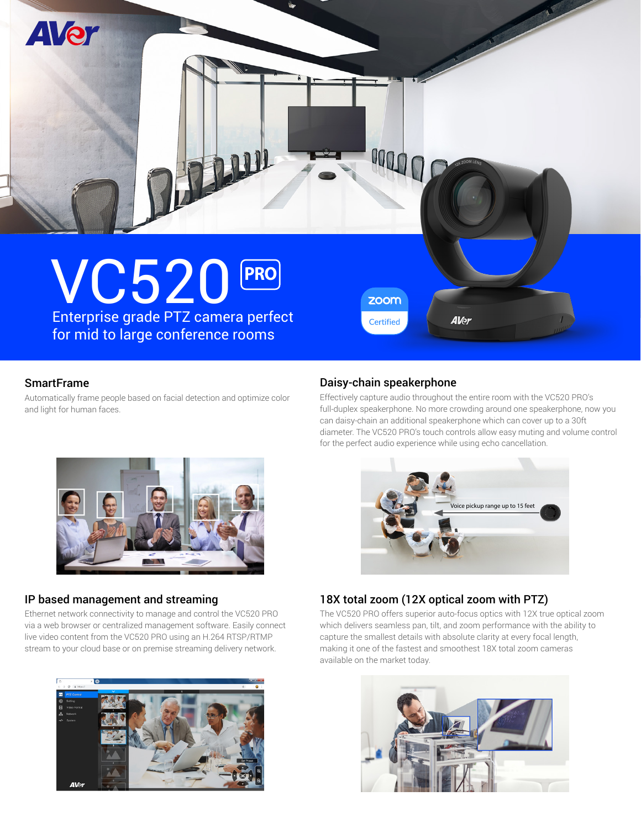

# **SmartFrame**

Automatically frame people based on facial detection and optimize color and light for human faces.

### Daisy-chain speakerphone

Effectively capture audio throughout the entire room with the VC520 PRO's full-duplex speakerphone. No more crowding around one speakerphone, now you can daisy-chain an additional speakerphone which can cover up to a 30ft diameter. The VC520 PRO's touch controls allow easy muting and volume control for the perfect audio experience while using echo cancellation.

ce pickup range up to 15 fe



# IP based management and streaming

Ethernet network connectivity to manage and control the VC520 PRO via a web browser or centralized management software. Easily connect live video content from the VC520 PRO using an H.264 RTSP/RTMP stream to your cloud base or on premise streaming delivery network.



# 18X total zoom (12X optical zoom with PTZ)

The VC520 PRO offers superior auto-focus optics with 12X true optical zoom which delivers seamless pan, tilt, and zoom performance with the ability to capture the smallest details with absolute clarity at every focal length, making it one of the fastest and smoothest 18X total zoom cameras available on the market today.